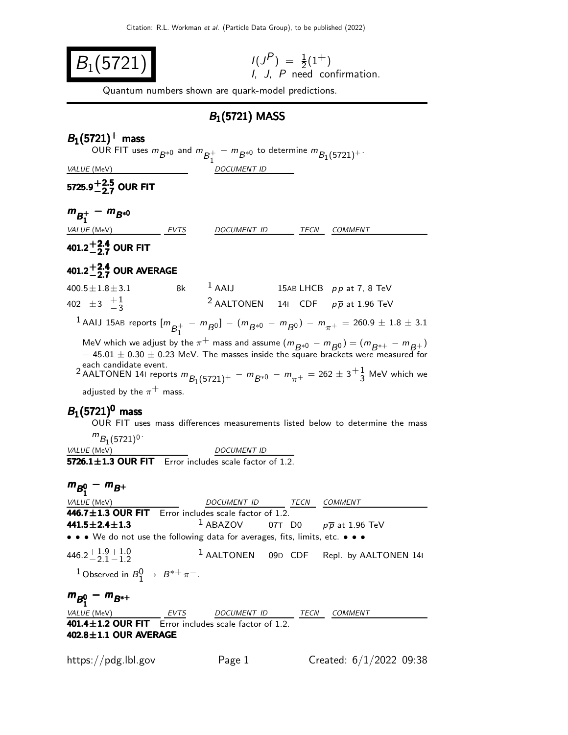$B_1(5721)$  $\binom{P}{1} = \frac{1}{2}(1^+)$ I, J, P need confirmation. Quantum numbers shown are quark-model predictions.  $B_1(5721)$  MASS  $B_1(5721)^+$  mass OUR FIT uses  $m_{\overline{B}^{*0}}$  and  $m_{\overline{B}^{+}_{1}}$  $\frac{1}{1}$  –  $m_{B^{*0}}$  to determine  $m_{B_1(5721)^+}$ . VALUE (MeV) DOCUMENT ID 5725.9 $^{+2.5}_{-2.7}$  OUR FIT  $m_{B_1^+} - m_{B^{*0}}$ VALUE (MeV) **EVTS** DOCUMENT ID TECN COMMENT  $401.2^{+2.4}_{-2.7}$  OUR FIT 401.2 $^{+2.4}_{-2.7}$  OUR AVERAGE  $400.5 \pm 1.8 \pm 3.1$  8k  $^1$  AAIJ 15AB LHCB pp at 7, 8 TeV 402  $\pm 3$   $\frac{+1}{-3}$ <sup>2</sup> AALTONEN 14I CDF  $p\overline{p}$  at 1.96 TeV  $^1$  AAIJ 15AB reports  $[m_{\overline{\mathcal{B}^+_1}}]$  $\frac{1}{1}$  –  $m_{B}$ 0] –  $(m_{B*0} - m_{B0}) - m_{\pi^+} = 260.9 \pm 1.8 \pm 3.1$ MeV which we adjust by the  $\pi^+$  mass and assume  $(m_{B*0} - m_{B0}) = (m_{B*+} - m_{B+})$  $= 45.01 \pm 0.30 \pm 0.23$  MeV. The masses inside the square brackets were measured for each candidate event.<br><sup>2</sup> AALTONEN 141 reports  $m_{B_1(5721)^+} - m_{B^{*0}} - m_{\pi^+} = 262 \pm 3 \frac{+}{3}$  MeV which we adjusted by the  $\pi^+$  mass.  $B_1(5721)^0$  mass OUR FIT uses mass differences measurements listed below to determine the mass  $m_{B_1(5721)^0}$ VALUE (MeV) DOCUMENT ID  $5726.1 \pm 1.3$  OUR FIT Error includes scale factor of 1.2.  $m_{B_1^0} - m_{B^+}$ VALUE (MeV)  $DOCUMENT ID$  TECN COMMENT  $\overline{446.7\pm 1.3}$  OUR FIT Error includes scale factor of 1.2. 441.5±2.4±1.3 <sup>1</sup> ABAZOV 07T D0  $p\overline{p}$  at 1.96 TeV • • • We do not use the following data for averages, fits, limits, etc. • • •  $446.2 + 1.9 + 1.0$ <br>-2.1 – 1.2 1 AALTONEN 09<sup>D</sup> CDF Repl. by AALTONEN 14<sup>I</sup> <sup>1</sup> Observed in  $B_1^0 \rightarrow B^{*+} \pi^-$ .  $m_{B_1^0} - m_{B_*^+}$ VALUE (MeV) **EVTS** DOCUMENT ID TECN COMMENT  $401.4 \pm 1.2$  OUR FIT Error includes scale factor of 1.2.  $402.8 \pm 1.1$  OUR AVERAGE https://pdg.lbl.gov Page 1 Created:  $6/1/2022$  09:38